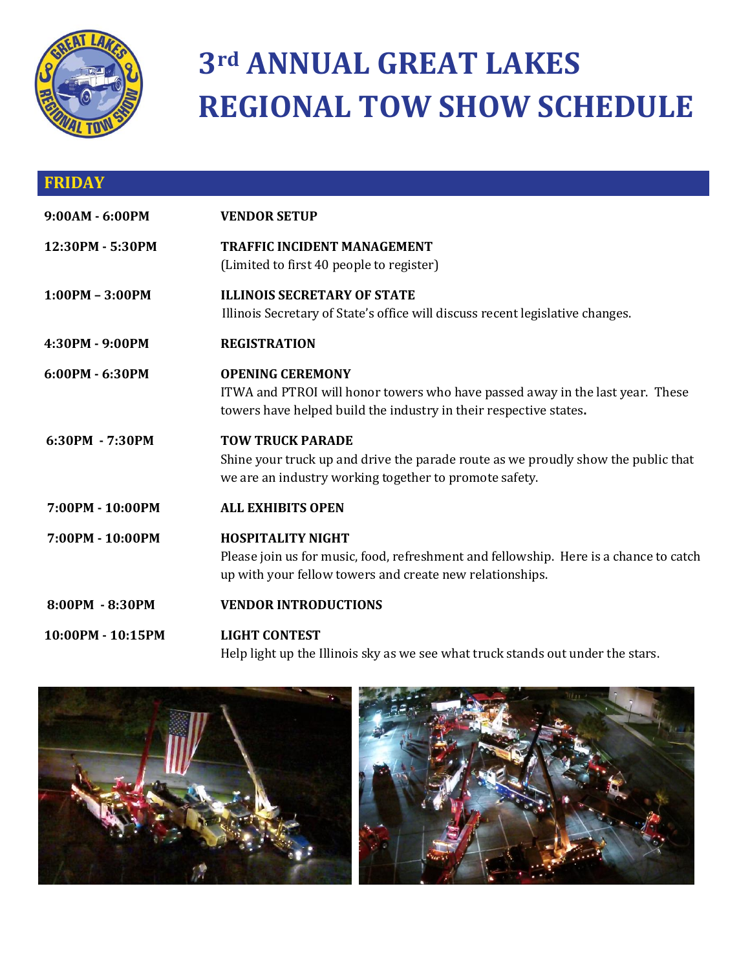

## **3rd ANNUAL GREAT LAKES REGIONAL TOW SHOW SCHEDULE**

| <b>FRIDAY</b>     |                                                                                                                                                                               |
|-------------------|-------------------------------------------------------------------------------------------------------------------------------------------------------------------------------|
| 9:00AM - 6:00PM   | <b>VENDOR SETUP</b>                                                                                                                                                           |
| 12:30PM - 5:30PM  | <b>TRAFFIC INCIDENT MANAGEMENT</b><br>(Limited to first 40 people to register)                                                                                                |
| $1:00PM - 3:00PM$ | <b>ILLINOIS SECRETARY OF STATE</b><br>Illinois Secretary of State's office will discuss recent legislative changes.                                                           |
| 4:30PM - 9:00PM   | <b>REGISTRATION</b>                                                                                                                                                           |
| 6:00PM - 6:30PM   | <b>OPENING CEREMONY</b><br>ITWA and PTROI will honor towers who have passed away in the last year. These<br>towers have helped build the industry in their respective states. |
| 6:30PM - 7:30PM   | <b>TOW TRUCK PARADE</b><br>Shine your truck up and drive the parade route as we proudly show the public that<br>we are an industry working together to promote safety.        |
| 7:00PM - 10:00PM  | <b>ALL EXHIBITS OPEN</b>                                                                                                                                                      |
| 7:00PM - 10:00PM  | <b>HOSPITALITY NIGHT</b><br>Please join us for music, food, refreshment and fellowship. Here is a chance to catch<br>up with your fellow towers and create new relationships. |
| 8:00PM - 8:30PM   | <b>VENDOR INTRODUCTIONS</b>                                                                                                                                                   |
| 10:00PM - 10:15PM | <b>LIGHT CONTEST</b><br>Help light up the Illinois sky as we see what truck stands out under the stars.                                                                       |